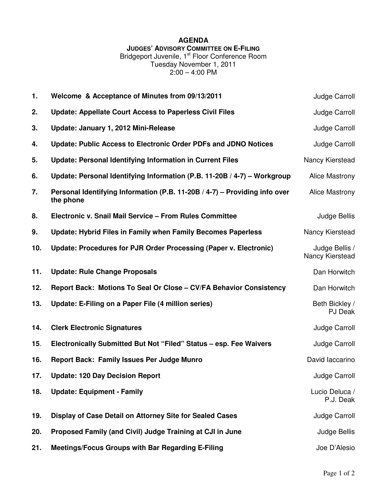## **AGENDA**

**JUDGES' ADVISORY COMMITTEE ON E-FILING**

Bridgeport Juvenile, 1<sup>st</sup> Floor Conference Room Tuesday November 1, 2011 2:00 – 4:00 PM

| 1.  | Welcome & Acceptance of Minutes from 09/13/2011                                         | Judge Carroll                     |
|-----|-----------------------------------------------------------------------------------------|-----------------------------------|
| 2.  | <b>Update: Appellate Court Access to Paperless Civil Files</b>                          | Judge Carroll                     |
| 3.  | Update: January 1, 2012 Mini-Release                                                    | Judge Carroll                     |
| 4.  | Update: Public Access to Electronic Order PDFs and JDNO Notices                         | Judge Carroll                     |
| 5.  | <b>Update: Personal Identifying Information in Current Files</b>                        | Nancy Kierstead                   |
| 6.  | Update: Personal Identifying Information (P.B. 11-20B / 4-7) - Workgroup                | <b>Alice Mastrony</b>             |
| 7.  | Personal Identifying Information (P.B. 11-20B / 4-7) - Providing info over<br>the phone | <b>Alice Mastrony</b>             |
| 8.  | Electronic v. Snail Mail Service - From Rules Committee                                 | Judge Bellis                      |
| 9.  | <b>Update: Hybrid Files in Family when Family Becomes Paperless</b>                     | Nancy Kierstead                   |
| 10. | Update: Procedures for PJR Order Processing (Paper v. Electronic)                       | Judge Bellis /<br>Nancy Kierstead |
| 11. | <b>Update: Rule Change Proposals</b>                                                    | Dan Horwitch                      |
| 12. | Report Back: Motions To Seal Or Close - CV/FA Behavior Consistency                      | Dan Horwitch                      |
| 13. | Update: E-Filing on a Paper File (4 million series)                                     | Beth Bickley /<br>PJ Deak         |
| 14. | <b>Clerk Electronic Signatures</b>                                                      | Judge Carroll                     |
| 15. | Electronically Submitted But Not "Filed" Status - esp. Fee Waivers                      | Judge Carroll                     |
| 16. | <b>Report Back: Family Issues Per Judge Munro</b>                                       | David laccarino                   |
| 17. | <b>Update: 120 Day Decision Report</b>                                                  | Judge Carroll                     |
| 18. | <b>Update: Equipment - Family</b>                                                       | Lucio Deluca /<br>P.J. Deak       |
| 19. | Display of Case Detail on Attorney Site for Sealed Cases                                | Judge Carroll                     |
| 20. | Proposed Family (and Civil) Judge Training at CJI in June                               | Judge Bellis                      |
| 21. | Meetings/Focus Groups with Bar Regarding E-Filing                                       | Joe D'Alesio                      |